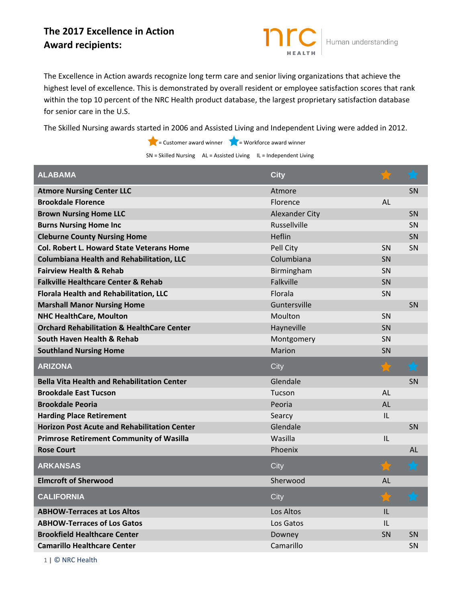## **The 2017 Excellence in Action Award recipients:**

The Excellence in Action awards recognize long term care and senior living organizations that achieve the highest level of excellence. This is demonstrated by overall resident or employee satisfaction scores that rank within the top 10 percent of the NRC Health product database, the largest proprietary satisfaction database for senior care in the U.S.

Human understanding

The Skilled Nursing awards started in 2006 and Assisted Living and Independent Living were added in 2012.

 $\blacktriangleright$  = Customer award winner  $\blacktriangleright$  = Workforce award winner

 $SN = Skilled \, \nN = Ak$  AL = Assisted Living IL = Independent Living

| <b>City</b>           |           | $\bigstar$ |
|-----------------------|-----------|------------|
| Atmore                |           | SN         |
| Florence              | AL        |            |
| <b>Alexander City</b> |           | SN         |
| Russellville          |           | <b>SN</b>  |
| Heflin                |           | SN         |
| Pell City             | <b>SN</b> | SN         |
| Columbiana            | SN        |            |
| Birmingham            | <b>SN</b> |            |
| Falkville             | SN        |            |
| Florala               | <b>SN</b> |            |
| Guntersville          |           | <b>SN</b>  |
| Moulton               | SN        |            |
| Hayneville            | <b>SN</b> |            |
| Montgomery            | SN        |            |
| <b>Marion</b>         | <b>SN</b> |            |
| City                  | T.T       | $\bigstar$ |
| Glendale              |           | <b>SN</b>  |
|                       |           |            |
| Tucson                | AL        |            |
| Peoria                | <b>AL</b> |            |
| Searcy                | IL        |            |
| Glendale              |           | SN         |
| Wasilla               | IL        |            |
| Phoenix               |           | AL         |
| City                  |           |            |
| Sherwood              | AL        |            |
| City                  |           |            |
| Los Altos             | IL        |            |
| Los Gatos             | IL        |            |
| Downey                | <b>SN</b> | <b>SN</b>  |
|                       |           |            |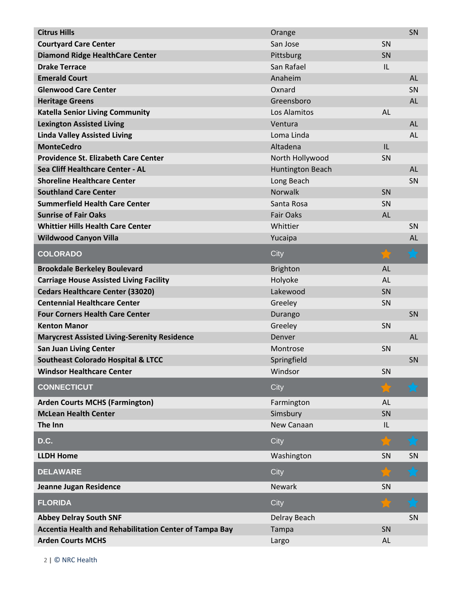| <b>Citrus Hills</b>                                    | Orange           |           | SN         |
|--------------------------------------------------------|------------------|-----------|------------|
| <b>Courtyard Care Center</b>                           | San Jose         | SN        |            |
| <b>Diamond Ridge HealthCare Center</b>                 | Pittsburg        | SN        |            |
| <b>Drake Terrace</b>                                   | San Rafael       | IL        |            |
| <b>Emerald Court</b>                                   | Anaheim          |           | <b>AL</b>  |
| <b>Glenwood Care Center</b>                            | Oxnard           |           | SN         |
| <b>Heritage Greens</b>                                 | Greensboro       |           | <b>AL</b>  |
| <b>Katella Senior Living Community</b>                 | Los Alamitos     | <b>AL</b> |            |
| <b>Lexington Assisted Living</b>                       | Ventura          |           | <b>AL</b>  |
| <b>Linda Valley Assisted Living</b>                    | Loma Linda       |           | AL         |
| <b>MonteCedro</b>                                      | Altadena         | IL        |            |
| <b>Providence St. Elizabeth Care Center</b>            | North Hollywood  | SN        |            |
| Sea Cliff Healthcare Center - AL                       | Huntington Beach |           | <b>AL</b>  |
| <b>Shoreline Healthcare Center</b>                     | Long Beach       |           | SN         |
| <b>Southland Care Center</b>                           | Norwalk          | SN        |            |
| <b>Summerfield Health Care Center</b>                  | Santa Rosa       | SN        |            |
| <b>Sunrise of Fair Oaks</b>                            | <b>Fair Oaks</b> | <b>AL</b> |            |
| <b>Whittier Hills Health Care Center</b>               | Whittier         |           | SN         |
| <b>Wildwood Canyon Villa</b>                           | Yucaipa          |           | <b>AL</b>  |
| <b>COLORADO</b>                                        | City             |           | $\bigstar$ |
| <b>Brookdale Berkeley Boulevard</b>                    | <b>Brighton</b>  | <b>AL</b> |            |
| <b>Carriage House Assisted Living Facility</b>         | Holyoke          | <b>AL</b> |            |
| <b>Cedars Healthcare Center (33020)</b>                | Lakewood         | SN        |            |
| <b>Centennial Healthcare Center</b>                    | Greeley          | SN        |            |
| <b>Four Corners Health Care Center</b>                 | Durango          |           | SN         |
| <b>Kenton Manor</b>                                    | Greeley          | SN        |            |
| <b>Marycrest Assisted Living-Serenity Residence</b>    | Denver           |           | <b>AL</b>  |
| <b>San Juan Living Center</b>                          | Montrose         | SN        |            |
| <b>Southeast Colorado Hospital &amp; LTCC</b>          | Springfield      |           | SN         |
| <b>Windsor Healthcare Center</b>                       | Windsor          | SN        |            |
| <b>CONNECTICUT</b>                                     | City             |           | $\bigstar$ |
| <b>Arden Courts MCHS (Farmington)</b>                  | Farmington       | <b>AL</b> |            |
| <b>McLean Health Center</b>                            | Simsbury         | SN        |            |
| The Inn                                                | New Canaan       | IL        |            |
| D.C.                                                   | City             | 79,       | $\bigstar$ |
| <b>LLDH Home</b>                                       | Washington       | SN        | SN         |
| <b>DELAWARE</b>                                        | City             |           | h. C       |
| Jeanne Jugan Residence                                 | <b>Newark</b>    | SN        |            |
| <b>FLORIDA</b>                                         | City             |           |            |
| <b>Abbey Delray South SNF</b>                          | Delray Beach     |           | SN         |
| Accentia Health and Rehabilitation Center of Tampa Bay | Tampa            | SN        |            |
| <b>Arden Courts MCHS</b>                               | Largo            | <b>AL</b> |            |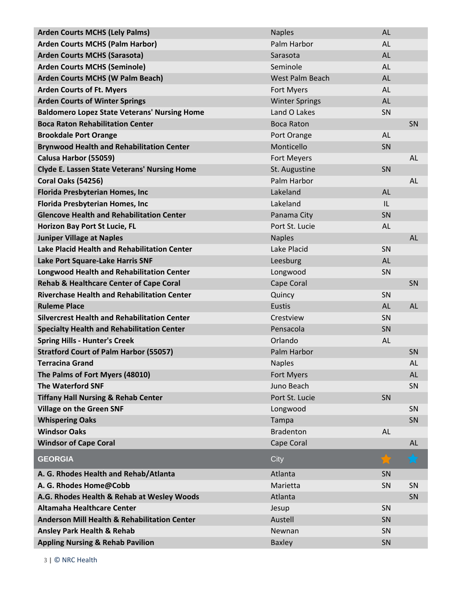| <b>Arden Courts MCHS (Lely Palms)</b>                   | <b>Naples</b>         | <b>AL</b> |           |
|---------------------------------------------------------|-----------------------|-----------|-----------|
| <b>Arden Courts MCHS (Palm Harbor)</b>                  | Palm Harbor           | AL        |           |
| <b>Arden Courts MCHS (Sarasota)</b>                     | Sarasota              | <b>AL</b> |           |
| <b>Arden Courts MCHS (Seminole)</b>                     | Seminole              | AL        |           |
| <b>Arden Courts MCHS (W Palm Beach)</b>                 | West Palm Beach       | <b>AL</b> |           |
| <b>Arden Courts of Ft. Myers</b>                        | Fort Myers            | AL        |           |
| <b>Arden Courts of Winter Springs</b>                   | <b>Winter Springs</b> | <b>AL</b> |           |
| <b>Baldomero Lopez State Veterans' Nursing Home</b>     | Land O Lakes          | SN        |           |
| <b>Boca Raton Rehabilitation Center</b>                 | <b>Boca Raton</b>     |           | SN        |
| <b>Brookdale Port Orange</b>                            | Port Orange           | <b>AL</b> |           |
| <b>Brynwood Health and Rehabilitation Center</b>        | Monticello            | SN        |           |
| Calusa Harbor (55059)                                   | Fort Meyers           |           | <b>AL</b> |
| <b>Clyde E. Lassen State Veterans' Nursing Home</b>     | St. Augustine         | SN        |           |
| <b>Coral Oaks (54256)</b>                               | Palm Harbor           |           | <b>AL</b> |
| <b>Florida Presbyterian Homes, Inc</b>                  | Lakeland              | <b>AL</b> |           |
| <b>Florida Presbyterian Homes, Inc</b>                  | Lakeland              | IL        |           |
| <b>Glencove Health and Rehabilitation Center</b>        | Panama City           | SN        |           |
| Horizon Bay Port St Lucie, FL                           | Port St. Lucie        | AL        |           |
| <b>Juniper Village at Naples</b>                        | <b>Naples</b>         |           | <b>AL</b> |
| Lake Placid Health and Rehabilitation Center            | Lake Placid           | SN        |           |
| Lake Port Square-Lake Harris SNF                        | Leesburg              | <b>AL</b> |           |
| <b>Longwood Health and Rehabilitation Center</b>        | Longwood              | SN        |           |
| <b>Rehab &amp; Healthcare Center of Cape Coral</b>      | Cape Coral            |           | SN        |
| <b>Riverchase Health and Rehabilitation Center</b>      | Quincy                | SN        |           |
| <b>Ruleme Place</b>                                     | Eustis                | <b>AL</b> | <b>AL</b> |
| <b>Silvercrest Health and Rehabilitation Center</b>     | Crestview             | SN        |           |
| <b>Specialty Health and Rehabilitation Center</b>       | Pensacola             | SN        |           |
| <b>Spring Hills - Hunter's Creek</b>                    | Orlando               | <b>AL</b> |           |
| <b>Stratford Court of Palm Harbor (55057)</b>           | Palm Harbor           |           | SN        |
| <b>Terracina Grand</b>                                  | <b>Naples</b>         |           | AL        |
| The Palms of Fort Myers (48010)                         | Fort Myers            |           | <b>AL</b> |
| <b>The Waterford SNF</b>                                | Juno Beach            |           | SN        |
| <b>Tiffany Hall Nursing &amp; Rehab Center</b>          | Port St. Lucie        | SN        |           |
| <b>Village on the Green SNF</b>                         | Longwood              |           | SN        |
| <b>Whispering Oaks</b>                                  | Tampa                 |           | SN        |
| <b>Windsor Oaks</b>                                     | <b>Bradenton</b>      | <b>AL</b> |           |
| <b>Windsor of Cape Coral</b>                            | Cape Coral            |           | <b>AL</b> |
| <b>GEORGIA</b>                                          | City                  |           | ৴<br>h. C |
| A. G. Rhodes Health and Rehab/Atlanta                   | Atlanta               | SN        |           |
| A. G. Rhodes Home@Cobb                                  | Marietta              | SN        | SN        |
| A.G. Rhodes Health & Rehab at Wesley Woods              | Atlanta               |           | SN        |
| Altamaha Healthcare Center                              | Jesup                 | SN        |           |
| <b>Anderson Mill Health &amp; Rehabilitation Center</b> | Austell               | SN        |           |
| <b>Ansley Park Health &amp; Rehab</b>                   | Newnan                | SN        |           |
| <b>Appling Nursing &amp; Rehab Pavilion</b>             | <b>Baxley</b>         | SN        |           |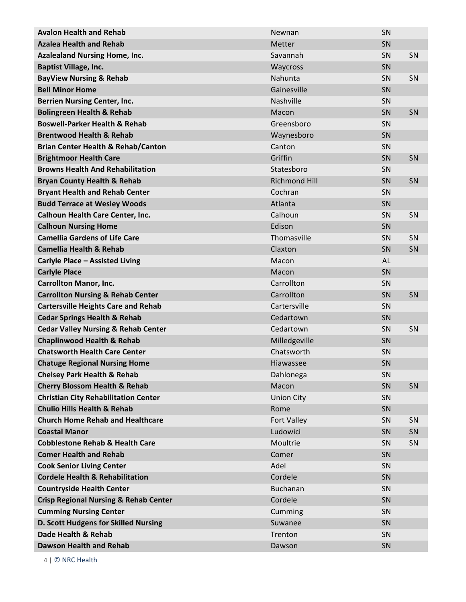| <b>Avalon Health and Rehab</b>                   | Newnan               | SN        |           |
|--------------------------------------------------|----------------------|-----------|-----------|
| <b>Azalea Health and Rehab</b>                   | Metter               | SN        |           |
| <b>Azalealand Nursing Home, Inc.</b>             | Savannah             | SN        | <b>SN</b> |
| <b>Baptist Village, Inc.</b>                     | Waycross             | SN        |           |
| <b>BayView Nursing &amp; Rehab</b>               | Nahunta              | SN        | <b>SN</b> |
| <b>Bell Minor Home</b>                           | Gainesville          | SN        |           |
| <b>Berrien Nursing Center, Inc.</b>              | Nashville            | SN        |           |
| <b>Bolingreen Health &amp; Rehab</b>             | Macon                | SN        | SN        |
| <b>Boswell-Parker Health &amp; Rehab</b>         | Greensboro           | SN        |           |
| <b>Brentwood Health &amp; Rehab</b>              | Waynesboro           | SN        |           |
| <b>Brian Center Health &amp; Rehab/Canton</b>    | Canton               | SN        |           |
| <b>Brightmoor Health Care</b>                    | Griffin              | SN        | SN        |
| <b>Browns Health And Rehabilitation</b>          | Statesboro           | SN        |           |
| <b>Bryan County Health &amp; Rehab</b>           | <b>Richmond Hill</b> | SN        | SN        |
| <b>Bryant Health and Rehab Center</b>            | Cochran              | SN        |           |
| <b>Budd Terrace at Wesley Woods</b>              | Atlanta              | SN        |           |
| Calhoun Health Care Center, Inc.                 | Calhoun              | SN        | <b>SN</b> |
| <b>Calhoun Nursing Home</b>                      | Edison               | SN        |           |
| <b>Camellia Gardens of Life Care</b>             | Thomasville          | SN        | SN        |
| <b>Camellia Health &amp; Rehab</b>               | Claxton              | SN        | SN        |
| <b>Carlyle Place - Assisted Living</b>           | Macon                | AL        |           |
| <b>Carlyle Place</b>                             | Macon                | SN        |           |
| <b>Carrollton Manor, Inc.</b>                    | Carrollton           | SN        |           |
| <b>Carrollton Nursing &amp; Rehab Center</b>     | Carrollton           | SN        | SN        |
| <b>Cartersville Heights Care and Rehab</b>       | Cartersville         | SN        |           |
| <b>Cedar Springs Health &amp; Rehab</b>          | Cedartown            | SN        |           |
| <b>Cedar Valley Nursing &amp; Rehab Center</b>   | Cedartown            | SN        | SN        |
| <b>Chaplinwood Health &amp; Rehab</b>            | Milledgeville        | SN        |           |
| <b>Chatsworth Health Care Center</b>             | Chatsworth           | SN        |           |
| <b>Chatuge Regional Nursing Home</b>             | <b>Hiawassee</b>     | SN        |           |
| <b>Chelsey Park Health &amp; Rehab</b>           | Dahlonega            | SN        |           |
| <b>Cherry Blossom Health &amp; Rehab</b>         | Macon                | SN        | SN        |
| <b>Christian City Rehabilitation Center</b>      | <b>Union City</b>    | SN        |           |
| <b>Chulio Hills Health &amp; Rehab</b>           | Rome                 | SN        |           |
| <b>Church Home Rehab and Healthcare</b>          | Fort Valley          | <b>SN</b> | <b>SN</b> |
| <b>Coastal Manor</b>                             | Ludowici             | SN        | SN        |
| <b>Cobblestone Rehab &amp; Health Care</b>       | Moultrie             | <b>SN</b> | <b>SN</b> |
| <b>Comer Health and Rehab</b>                    | Comer                | SN        |           |
| <b>Cook Senior Living Center</b>                 | Adel                 | SN        |           |
| <b>Cordele Health &amp; Rehabilitation</b>       | Cordele              | SN        |           |
| <b>Countryside Health Center</b>                 | <b>Buchanan</b>      | SN        |           |
| <b>Crisp Regional Nursing &amp; Rehab Center</b> | Cordele              | SN        |           |
| <b>Cumming Nursing Center</b>                    | Cumming              | SN        |           |
| D. Scott Hudgens for Skilled Nursing             | Suwanee              | SN        |           |
| Dade Health & Rehab                              | Trenton              | SN        |           |
| <b>Dawson Health and Rehab</b>                   | Dawson               | SN        |           |
|                                                  |                      |           |           |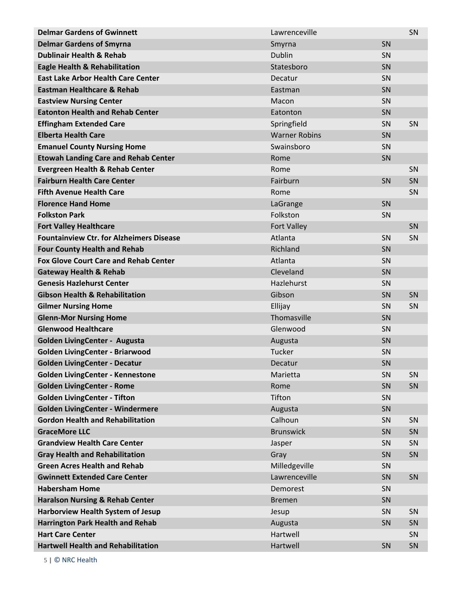| <b>Delmar Gardens of Gwinnett</b>               | Lawrenceville        |    | SN |
|-------------------------------------------------|----------------------|----|----|
| <b>Delmar Gardens of Smyrna</b>                 | Smyrna               | SN |    |
| <b>Dublinair Health &amp; Rehab</b>             | Dublin               | SN |    |
| <b>Eagle Health &amp; Rehabilitation</b>        | Statesboro           | SN |    |
| <b>East Lake Arbor Health Care Center</b>       | Decatur              | SN |    |
| <b>Eastman Healthcare &amp; Rehab</b>           | Eastman              | SN |    |
| <b>Eastview Nursing Center</b>                  | Macon                | SN |    |
| <b>Eatonton Health and Rehab Center</b>         | Eatonton             | SN |    |
| <b>Effingham Extended Care</b>                  | Springfield          | SN | SN |
| <b>Elberta Health Care</b>                      | <b>Warner Robins</b> | SN |    |
| <b>Emanuel County Nursing Home</b>              | Swainsboro           | SN |    |
| <b>Etowah Landing Care and Rehab Center</b>     | Rome                 | SN |    |
| <b>Evergreen Health &amp; Rehab Center</b>      | Rome                 |    | SN |
| <b>Fairburn Health Care Center</b>              | Fairburn             | SN | SN |
| <b>Fifth Avenue Health Care</b>                 | Rome                 |    | SN |
| <b>Florence Hand Home</b>                       | LaGrange             | SN |    |
| <b>Folkston Park</b>                            | Folkston             | SN |    |
| <b>Fort Valley Healthcare</b>                   | <b>Fort Valley</b>   |    | SN |
| <b>Fountainview Ctr. for Alzheimers Disease</b> | Atlanta              | SN | SN |
| <b>Four County Health and Rehab</b>             | Richland             | SN |    |
| <b>Fox Glove Court Care and Rehab Center</b>    | Atlanta              | SN |    |
| <b>Gateway Health &amp; Rehab</b>               | Cleveland            | SN |    |
| <b>Genesis Hazlehurst Center</b>                | Hazlehurst           | SN |    |
| <b>Gibson Health &amp; Rehabilitation</b>       | Gibson               | SN | SN |
| <b>Gilmer Nursing Home</b>                      | Ellijay              | SN | SN |
| <b>Glenn-Mor Nursing Home</b>                   | Thomasville          | SN |    |
| <b>Glenwood Healthcare</b>                      | Glenwood             | SN |    |
| <b>Golden LivingCenter - Augusta</b>            | Augusta              | SN |    |
| <b>Golden LivingCenter - Briarwood</b>          | Tucker               | SN |    |
| <b>Golden LivingCenter - Decatur</b>            | Decatur              | SN |    |
| <b>Golden LivingCenter - Kennestone</b>         | Marietta             | SN | SN |
| <b>Golden LivingCenter - Rome</b>               | Rome                 | SN | SN |
| <b>Golden LivingCenter - Tifton</b>             | Tifton               | SN |    |
| Golden LivingCenter - Windermere                | Augusta              | SN |    |
| <b>Gordon Health and Rehabilitation</b>         | Calhoun              | SN | SN |
| <b>GraceMore LLC</b>                            | <b>Brunswick</b>     | SN | SN |
| <b>Grandview Health Care Center</b>             | Jasper               | SN | SN |
| <b>Gray Health and Rehabilitation</b>           | Gray                 | SN | SN |
| <b>Green Acres Health and Rehab</b>             | Milledgeville        | SN |    |
| <b>Gwinnett Extended Care Center</b>            | Lawrenceville        | SN | SN |
| <b>Habersham Home</b>                           | Demorest             | SN |    |
| <b>Haralson Nursing &amp; Rehab Center</b>      | <b>Bremen</b>        | SN |    |
| Harborview Health System of Jesup               | Jesup                | SN | SN |
| <b>Harrington Park Health and Rehab</b>         | Augusta              | SN | SN |
| <b>Hart Care Center</b>                         | Hartwell             |    | SN |
| <b>Hartwell Health and Rehabilitation</b>       | Hartwell             | SN | SN |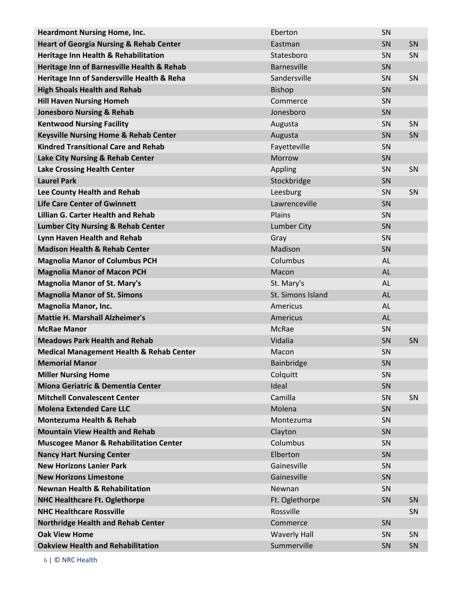| <b>Heardmont Nursing Home, Inc.</b>                 | Eberton             | SN        |    |
|-----------------------------------------------------|---------------------|-----------|----|
| <b>Heart of Georgia Nursing &amp; Rehab Center</b>  | Eastman             | SN        | SN |
| Heritage Inn Health & Rehabilitation                | Statesboro          | SN        | SN |
| Heritage Inn of Barnesville Health & Rehab          | <b>Barnesville</b>  | SN        |    |
| Heritage Inn of Sandersville Health & Reha          | Sandersville        | SN        | SN |
| <b>High Shoals Health and Rehab</b>                 | <b>Bishop</b>       | SN        |    |
| <b>Hill Haven Nursing Homeh</b>                     | Commerce            | SN        |    |
| <b>Jonesboro Nursing &amp; Rehab</b>                | Jonesboro           | SN        |    |
| <b>Kentwood Nursing Facility</b>                    | Augusta             | SN        | SN |
| <b>Keysville Nursing Home &amp; Rehab Center</b>    | Augusta             | SN        | SN |
| <b>Kindred Transitional Care and Rehab</b>          | Fayetteville        | SN        |    |
| Lake City Nursing & Rehab Center                    | Morrow              | SN        |    |
| <b>Lake Crossing Health Center</b>                  | Appling             | SN        | SN |
| <b>Laurel Park</b>                                  | Stockbridge         | SN        |    |
| Lee County Health and Rehab                         | Leesburg            | SN        | SN |
| <b>Life Care Center of Gwinnett</b>                 | Lawrenceville       | SN        |    |
| <b>Lillian G. Carter Health and Rehab</b>           | Plains              | SN        |    |
| <b>Lumber City Nursing &amp; Rehab Center</b>       | <b>Lumber City</b>  | SN        |    |
| Lynn Haven Health and Rehab                         | Gray                | SN        |    |
| <b>Madison Health &amp; Rehab Center</b>            | Madison             | SN        |    |
| <b>Magnolia Manor of Columbus PCH</b>               | Columbus            | AL        |    |
| <b>Magnolia Manor of Macon PCH</b>                  | Macon               | <b>AL</b> |    |
| <b>Magnolia Manor of St. Mary's</b>                 | St. Mary's          | AL        |    |
| <b>Magnolia Manor of St. Simons</b>                 | St. Simons Island   | <b>AL</b> |    |
| <b>Magnolia Manor, Inc.</b>                         | Americus            | AL        |    |
| <b>Mattie H. Marshall Alzheimer's</b>               | Americus            | <b>AL</b> |    |
| <b>McRae Manor</b>                                  | <b>McRae</b>        | SN        |    |
| <b>Meadows Park Health and Rehab</b>                | Vidalia             | SN        | SN |
| <b>Medical Management Health &amp; Rehab Center</b> | Macon               | SN        |    |
| <b>Memorial Manor</b>                               | Bainbridge          | SN        |    |
| <b>Miller Nursing Home</b>                          | Colquitt            | SN        |    |
| Miona Geriatric & Dementia Center                   | Ideal               | SN        |    |
| <b>Mitchell Convalescent Center</b>                 | Camilla             | SN        | SN |
| <b>Molena Extended Care LLC</b>                     | Molena              | SN        |    |
| <b>Montezuma Health &amp; Rehab</b>                 | Montezuma           | SN        |    |
| <b>Mountain View Health and Rehab</b>               |                     |           |    |
|                                                     | Clayton             | SN        |    |
| <b>Muscogee Manor &amp; Rehabilitation Center</b>   | Columbus            | SN        |    |
| <b>Nancy Hart Nursing Center</b>                    | Elberton            | SN        |    |
| <b>New Horizons Lanier Park</b>                     | Gainesville         | SN        |    |
| <b>New Horizons Limestone</b>                       | Gainesville         | SN        |    |
| <b>Newnan Health &amp; Rehabilitation</b>           | Newnan              | SN        |    |
| <b>NHC Healthcare Ft. Oglethorpe</b>                | Ft. Oglethorpe      | SN        | SN |
| <b>NHC Healthcare Rossville</b>                     | Rossville           |           | SN |
| <b>Northridge Health and Rehab Center</b>           | Commerce            | SN        |    |
| <b>Oak View Home</b>                                | <b>Waverly Hall</b> | <b>SN</b> | SN |
| <b>Oakview Health and Rehabilitation</b>            | Summerville         | SN        | SN |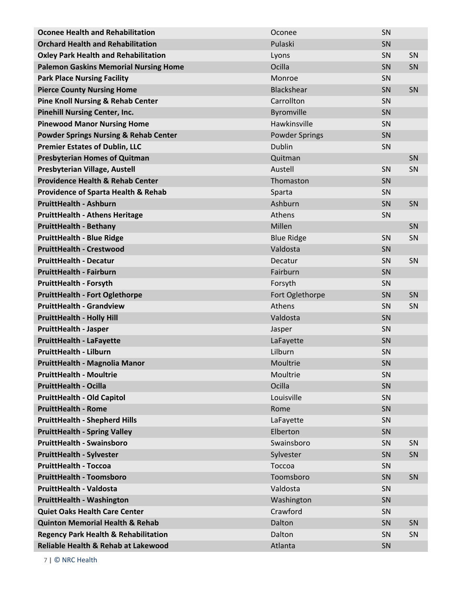| <b>Oconee Health and Rehabilitation</b>          | Oconee                | SN |           |
|--------------------------------------------------|-----------------------|----|-----------|
| <b>Orchard Health and Rehabilitation</b>         | Pulaski               | SN |           |
| <b>Oxley Park Health and Rehabilitation</b>      | Lyons                 | SN | SN        |
| <b>Palemon Gaskins Memorial Nursing Home</b>     | Ocilla                | SN | SN        |
| <b>Park Place Nursing Facility</b>               | Monroe                | SN |           |
| <b>Pierce County Nursing Home</b>                | Blackshear            | SN | SN        |
| <b>Pine Knoll Nursing &amp; Rehab Center</b>     | Carrollton            | SN |           |
| <b>Pinehill Nursing Center, Inc.</b>             | Byromville            | SN |           |
| <b>Pinewood Manor Nursing Home</b>               | Hawkinsville          | SN |           |
| <b>Powder Springs Nursing &amp; Rehab Center</b> | <b>Powder Springs</b> | SN |           |
| <b>Premier Estates of Dublin, LLC</b>            | Dublin                | SN |           |
| <b>Presbyterian Homes of Quitman</b>             | Quitman               |    | SN        |
| Presbyterian Village, Austell                    | Austell               | SN | SN        |
| <b>Providence Health &amp; Rehab Center</b>      | Thomaston             | SN |           |
| <b>Providence of Sparta Health &amp; Rehab</b>   | Sparta                | SN |           |
| <b>PruittHealth - Ashburn</b>                    | Ashburn               | SN | SN        |
| <b>PruittHealth - Athens Heritage</b>            | Athens                | SN |           |
| <b>PruittHealth - Bethany</b>                    | Millen                |    | SN        |
| <b>PruittHealth - Blue Ridge</b>                 | <b>Blue Ridge</b>     | SN | SN        |
| <b>PruittHealth - Crestwood</b>                  | Valdosta              | SN |           |
| <b>PruittHealth - Decatur</b>                    | Decatur               | SN | SN        |
| <b>PruittHealth - Fairburn</b>                   | Fairburn              | SN |           |
| <b>PruittHealth - Forsyth</b>                    | Forsyth               | SN |           |
| <b>PruittHealth - Fort Oglethorpe</b>            | Fort Oglethorpe       | SN | SN        |
| <b>PruittHealth - Grandview</b>                  | Athens                | SN | SN        |
| <b>PruittHealth - Holly Hill</b>                 | Valdosta              | SN |           |
| <b>PruittHealth - Jasper</b>                     | Jasper                | SN |           |
| <b>PruittHealth - LaFayette</b>                  | LaFayette             | SN |           |
| <b>PruittHealth - Lilburn</b>                    | Lilburn               | SN |           |
| PruittHealth - Magnolia Manor                    | Moultrie              | SN |           |
| <b>PruittHealth - Moultrie</b>                   | Moultrie              | SN |           |
| <b>PruittHealth - Ocilla</b>                     | Ocilla                | SN |           |
| <b>PruittHealth - Old Capitol</b>                | Louisville            | SN |           |
| <b>PruittHealth - Rome</b>                       | Rome                  | SN |           |
| <b>PruittHealth - Shepherd Hills</b>             | LaFayette             | SN |           |
| <b>PruittHealth - Spring Valley</b>              | Elberton              | SN |           |
| <b>PruittHealth - Swainsboro</b>                 | Swainsboro            | SN | <b>SN</b> |
| <b>PruittHealth - Sylvester</b>                  | Sylvester             | SN | SN        |
| <b>PruittHealth - Toccoa</b>                     | Toccoa                | SN |           |
| <b>PruittHealth - Toomsboro</b>                  | Toomsboro             | SN | SN        |
| <b>PruittHealth - Valdosta</b>                   | Valdosta              | SN |           |
| <b>PruittHealth - Washington</b>                 | Washington            | SN |           |
| <b>Quiet Oaks Health Care Center</b>             | Crawford              | SN |           |
| <b>Quinton Memorial Health &amp; Rehab</b>       | Dalton                | SN | SN        |
| <b>Regency Park Health &amp; Rehabilitation</b>  | Dalton                | SN | SN        |
| Reliable Health & Rehab at Lakewood              | Atlanta               | SN |           |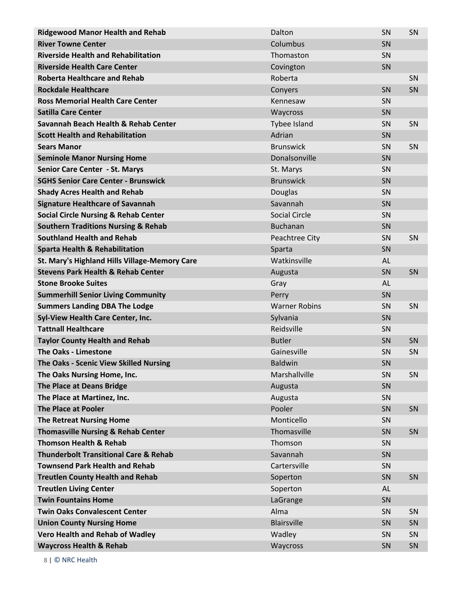| <b>Ridgewood Manor Health and Rehab</b>          | Dalton               | SN        | SN        |
|--------------------------------------------------|----------------------|-----------|-----------|
| <b>River Towne Center</b>                        | Columbus             | SN        |           |
| <b>Riverside Health and Rehabilitation</b>       | Thomaston            | SN        |           |
| <b>Riverside Health Care Center</b>              | Covington            | SN        |           |
| <b>Roberta Healthcare and Rehab</b>              | Roberta              |           | SN        |
| <b>Rockdale Healthcare</b>                       | Conyers              | SN        | SN        |
| <b>Ross Memorial Health Care Center</b>          | Kennesaw             | SN        |           |
| <b>Satilla Care Center</b>                       | Waycross             | SN        |           |
| Savannah Beach Health & Rehab Center             | Tybee Island         | SN        | SN        |
| <b>Scott Health and Rehabilitation</b>           | Adrian               | SN        |           |
| <b>Sears Manor</b>                               | <b>Brunswick</b>     | SN        | SN        |
| <b>Seminole Manor Nursing Home</b>               | Donalsonville        | SN        |           |
| Senior Care Center - St. Marys                   | St. Marys            | SN        |           |
| <b>SGHS Senior Care Center - Brunswick</b>       | <b>Brunswick</b>     | SN        |           |
| <b>Shady Acres Health and Rehab</b>              | <b>Douglas</b>       | SN        |           |
| <b>Signature Healthcare of Savannah</b>          | Savannah             | SN        |           |
| <b>Social Circle Nursing &amp; Rehab Center</b>  | <b>Social Circle</b> | SN        |           |
| <b>Southern Traditions Nursing &amp; Rehab</b>   | <b>Buchanan</b>      | SN        |           |
| <b>Southland Health and Rehab</b>                | Peachtree City       | SN        | SN        |
| <b>Sparta Health &amp; Rehabilitation</b>        | Sparta               | SN        |           |
| St. Mary's Highland Hills Village-Memory Care    | Watkinsville         | AL        |           |
| <b>Stevens Park Health &amp; Rehab Center</b>    | Augusta              | SN        | SN        |
| <b>Stone Brooke Suites</b>                       | Gray                 | AL        |           |
| <b>Summerhill Senior Living Community</b>        | Perry                | SN        |           |
| <b>Summers Landing DBA The Lodge</b>             | <b>Warner Robins</b> | SN        | SN        |
| Syl-View Health Care Center, Inc.                | Sylvania             | SN        |           |
| <b>Tattnall Healthcare</b>                       | Reidsville           | SN        |           |
| <b>Taylor County Health and Rehab</b>            | <b>Butler</b>        | SN        | SN        |
| <b>The Oaks - Limestone</b>                      | Gainesville          | SN        | SN        |
| The Oaks - Scenic View Skilled Nursing           | <b>Baldwin</b>       | SN        |           |
| The Oaks Nursing Home, Inc.                      | Marshallville        | SN        | SN        |
| The Place at Deans Bridge                        | Augusta              | SN        |           |
| The Place at Martinez, Inc.                      | Augusta              | SN        |           |
| <b>The Place at Pooler</b>                       | Pooler               | SN        | SN        |
| <b>The Retreat Nursing Home</b>                  | Monticello           | <b>SN</b> |           |
| <b>Thomasville Nursing &amp; Rehab Center</b>    | Thomasville          | SN        | SN        |
| <b>Thomson Health &amp; Rehab</b>                | Thomson              | SN        |           |
| <b>Thunderbolt Transitional Care &amp; Rehab</b> | Savannah             | SN        |           |
| <b>Townsend Park Health and Rehab</b>            | Cartersville         | SN        |           |
| <b>Treutlen County Health and Rehab</b>          | Soperton             | SN        | SN        |
| <b>Treutlen Living Center</b>                    | Soperton             | AL        |           |
| <b>Twin Fountains Home</b>                       | LaGrange             | SN        |           |
| <b>Twin Oaks Convalescent Center</b>             | Alma                 | <b>SN</b> | <b>SN</b> |
| <b>Union County Nursing Home</b>                 | <b>Blairsville</b>   | SN        | SN        |
| <b>Vero Health and Rehab of Wadley</b>           | Wadley               | SN        | SN        |
| <b>Waycross Health &amp; Rehab</b>               | Waycross             | SN        | SN        |
|                                                  |                      |           |           |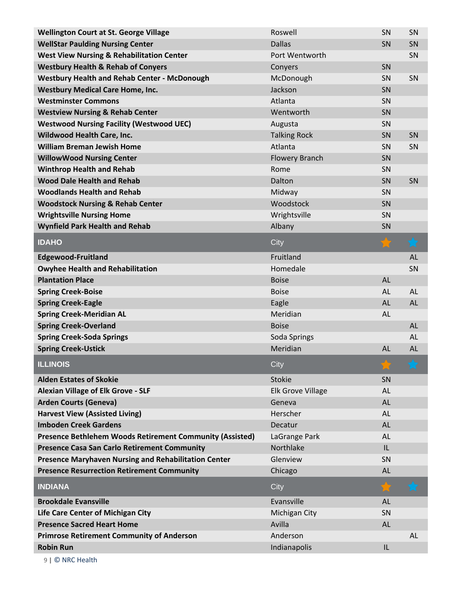| <b>Wellington Court at St. George Village</b>               | Roswell                  | SN        | SN        |
|-------------------------------------------------------------|--------------------------|-----------|-----------|
| <b>WellStar Paulding Nursing Center</b>                     | <b>Dallas</b>            | SN        | SN        |
| <b>West View Nursing &amp; Rehabilitation Center</b>        | Port Wentworth           |           | SN        |
| <b>Westbury Health &amp; Rehab of Conyers</b>               | Conyers                  | SN        |           |
| <b>Westbury Health and Rehab Center - McDonough</b>         | McDonough                | SN        | SN        |
| <b>Westbury Medical Care Home, Inc.</b>                     | Jackson                  | SN        |           |
| <b>Westminster Commons</b>                                  | Atlanta                  | SN        |           |
| <b>Westview Nursing &amp; Rehab Center</b>                  | Wentworth                | SN        |           |
| <b>Westwood Nursing Facility (Westwood UEC)</b>             | Augusta                  | SN        |           |
| <b>Wildwood Health Care, Inc.</b>                           | <b>Talking Rock</b>      | SN        | SN        |
| <b>William Breman Jewish Home</b>                           | Atlanta                  | SN        | SN        |
| <b>WillowWood Nursing Center</b>                            | <b>Flowery Branch</b>    | SN        |           |
| <b>Winthrop Health and Rehab</b>                            | Rome                     | SN        |           |
| <b>Wood Dale Health and Rehab</b>                           | Dalton                   | SN        | SN        |
| <b>Woodlands Health and Rehab</b>                           | Midway                   | SN        |           |
| <b>Woodstock Nursing &amp; Rehab Center</b>                 | Woodstock                | SN        |           |
| <b>Wrightsville Nursing Home</b>                            | Wrightsville             | SN        |           |
| <b>Wynfield Park Health and Rehab</b>                       | Albany                   | SN        |           |
| <b>IDAHO</b>                                                | City                     |           | Ъđ        |
| <b>Edgewood-Fruitland</b>                                   | Fruitland                |           | <b>AL</b> |
| <b>Owyhee Health and Rehabilitation</b>                     | Homedale                 |           | SN        |
| <b>Plantation Place</b>                                     | <b>Boise</b>             | AL        |           |
| <b>Spring Creek-Boise</b>                                   | <b>Boise</b>             | <b>AL</b> | AL        |
| <b>Spring Creek-Eagle</b>                                   | Eagle                    | <b>AL</b> | AL        |
| <b>Spring Creek-Meridian AL</b>                             | Meridian                 | AL        |           |
| <b>Spring Creek-Overland</b>                                | <b>Boise</b>             |           | AL        |
| <b>Spring Creek-Soda Springs</b>                            | Soda Springs             |           | <b>AL</b> |
| <b>Spring Creek-Ustick</b>                                  | Meridian                 | AL        | AL        |
| <b>ILLINOIS</b>                                             | City                     |           |           |
| <b>Alden Estates of Skokie</b>                              | <b>Stokie</b>            | <b>SN</b> |           |
| <b>Alexian Village of Elk Grove - SLF</b>                   | <b>Elk Grove Village</b> | <b>AL</b> |           |
| <b>Arden Courts (Geneva)</b>                                | Geneva                   | <b>AL</b> |           |
| <b>Harvest View (Assisted Living)</b>                       | Herscher                 | <b>AL</b> |           |
| <b>Imboden Creek Gardens</b>                                | Decatur                  | <b>AL</b> |           |
| Presence Bethlehem Woods Retirement Community (Assisted)    | LaGrange Park            | <b>AL</b> |           |
| <b>Presence Casa San Carlo Retirement Community</b>         | Northlake                | IL        |           |
| <b>Presence Maryhaven Nursing and Rehabilitation Center</b> | Glenview                 | SN        |           |
| <b>Presence Resurrection Retirement Community</b>           | Chicago                  | <b>AL</b> |           |
| <b>INDIANA</b>                                              | City                     |           |           |
| <b>Brookdale Evansville</b>                                 | Evansville               | <b>AL</b> |           |
| Life Care Center of Michigan City                           | Michigan City            | SN        |           |
| <b>Presence Sacred Heart Home</b>                           | Avilla                   | AL        |           |
| <b>Primrose Retirement Community of Anderson</b>            | Anderson                 |           | AL        |
| <b>Robin Run</b>                                            | Indianapolis             | IL        |           |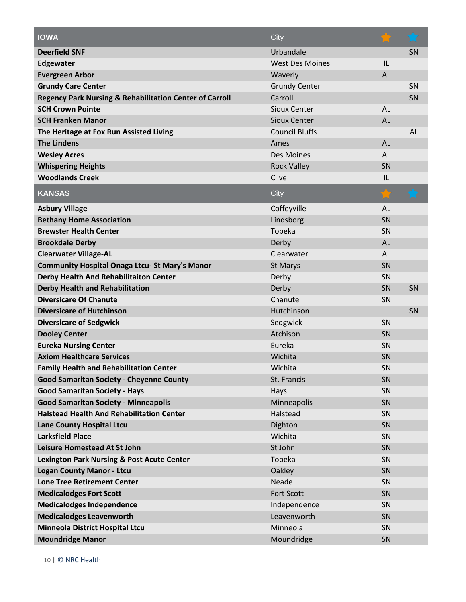| <b>IOWA</b>                                                        | City                   |           | $\bigstar$ |
|--------------------------------------------------------------------|------------------------|-----------|------------|
| <b>Deerfield SNF</b>                                               | Urbandale              |           | SN         |
| Edgewater                                                          | <b>West Des Moines</b> | IL        |            |
| <b>Evergreen Arbor</b>                                             | Waverly                | <b>AL</b> |            |
| <b>Grundy Care Center</b>                                          | <b>Grundy Center</b>   |           | SN         |
| <b>Regency Park Nursing &amp; Rehabilitation Center of Carroll</b> | Carroll                |           | SN         |
| <b>SCH Crown Pointe</b>                                            | <b>Sioux Center</b>    | <b>AL</b> |            |
| <b>SCH Franken Manor</b>                                           | <b>Sioux Center</b>    | <b>AL</b> |            |
| The Heritage at Fox Run Assisted Living                            | <b>Council Bluffs</b>  |           | AL         |
| <b>The Lindens</b>                                                 | Ames                   | <b>AL</b> |            |
| <b>Wesley Acres</b>                                                | Des Moines             | <b>AL</b> |            |
| <b>Whispering Heights</b>                                          | <b>Rock Valley</b>     | SN        |            |
| <b>Woodlands Creek</b>                                             | Clive                  | IL        |            |
| <b>KANSAS</b>                                                      | City                   |           |            |
| <b>Asbury Village</b>                                              | Coffeyville            | AL        |            |
| <b>Bethany Home Association</b>                                    | Lindsborg              | SN        |            |
| <b>Brewster Health Center</b>                                      | Topeka                 | SN        |            |
| <b>Brookdale Derby</b>                                             | Derby                  | <b>AL</b> |            |
| <b>Clearwater Village-AL</b>                                       | Clearwater             | <b>AL</b> |            |
| <b>Community Hospital Onaga Ltcu-St Mary's Manor</b>               | St Marys               | SN        |            |
| Derby Health And Rehabilitaiton Center                             | Derby                  | SN        |            |
| <b>Derby Health and Rehabilitation</b>                             | Derby                  | SN        | SN         |
| <b>Diversicare Of Chanute</b>                                      | Chanute                | SN        |            |
| <b>Diversicare of Hutchinson</b>                                   | Hutchinson             |           | SN         |
| <b>Diversicare of Sedgwick</b>                                     | Sedgwick               | SN        |            |
| <b>Dooley Center</b>                                               | Atchison               | SN        |            |
| <b>Eureka Nursing Center</b>                                       | Eureka                 | SN        |            |
| <b>Axiom Healthcare Services</b>                                   | Wichita                | SN        |            |
| <b>Family Health and Rehabilitation Center</b>                     | Wichita                | SN        |            |
| <b>Good Samaritan Society - Cheyenne County</b>                    | St. Francis            | SN        |            |
| <b>Good Samaritan Society - Hays</b>                               | Hays                   | SN        |            |
| <b>Good Samaritan Society - Minneapolis</b>                        | Minneapolis            | SN        |            |
| <b>Halstead Health And Rehabilitation Center</b>                   | Halstead               | SN        |            |
| <b>Lane County Hospital Ltcu</b>                                   | Dighton                | SN        |            |
| <b>Larksfield Place</b>                                            | Wichita                | SN        |            |
| <b>Leisure Homestead At St John</b>                                | St John                | SN        |            |
| <b>Lexington Park Nursing &amp; Post Acute Center</b>              | Topeka                 | SN        |            |
| <b>Logan County Manor - Ltcu</b>                                   | Oakley                 | SN        |            |
| <b>Lone Tree Retirement Center</b>                                 | Neade                  | SN        |            |
| <b>Medicalodges Fort Scott</b>                                     | <b>Fort Scott</b>      | SN        |            |
| <b>Medicalodges Independence</b>                                   | Independence           | SN        |            |
| <b>Medicalodges Leavenworth</b>                                    | Leavenworth            | SN        |            |
| <b>Minneola District Hospital Ltcu</b>                             | Minneola               | SN        |            |
| <b>Moundridge Manor</b>                                            | Moundridge             | SN        |            |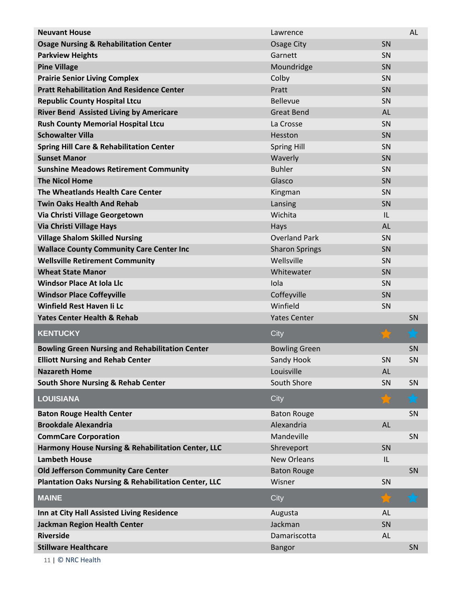| <b>Neuvant House</b>                                            | Lawrence              |           | <b>AL</b>      |
|-----------------------------------------------------------------|-----------------------|-----------|----------------|
| <b>Osage Nursing &amp; Rehabilitation Center</b>                | Osage City            | SN        |                |
| <b>Parkview Heights</b>                                         | Garnett               | SN        |                |
| <b>Pine Village</b>                                             | Moundridge            | SN        |                |
| <b>Prairie Senior Living Complex</b>                            | Colby                 | SN        |                |
| <b>Pratt Rehabilitation And Residence Center</b>                | Pratt                 | SN        |                |
| <b>Republic County Hospital Ltcu</b>                            | <b>Bellevue</b>       | SN        |                |
| <b>River Bend Assisted Living by Americare</b>                  | <b>Great Bend</b>     | <b>AL</b> |                |
| <b>Rush County Memorial Hospital Ltcu</b>                       | La Crosse             | SN        |                |
| <b>Schowalter Villa</b>                                         | Hesston               | SN        |                |
| <b>Spring Hill Care &amp; Rehabilitation Center</b>             | <b>Spring Hill</b>    | SN        |                |
| <b>Sunset Manor</b>                                             | Waverly               | SN        |                |
| <b>Sunshine Meadows Retirement Community</b>                    | <b>Buhler</b>         | SN        |                |
| <b>The Nicol Home</b>                                           | Glasco                | SN        |                |
| The Wheatlands Health Care Center                               | Kingman               | SN        |                |
| <b>Twin Oaks Health And Rehab</b>                               | Lansing               | SN        |                |
| Via Christi Village Georgetown                                  | Wichita               | IL        |                |
| Via Christi Village Hays                                        | Hays                  | <b>AL</b> |                |
| <b>Village Shalom Skilled Nursing</b>                           | <b>Overland Park</b>  | SN        |                |
| <b>Wallace County Community Care Center Inc</b>                 | <b>Sharon Springs</b> | SN        |                |
| <b>Wellsville Retirement Community</b>                          | Wellsville            | SN        |                |
| <b>Wheat State Manor</b>                                        | Whitewater            | SN        |                |
| <b>Windsor Place At Iola Llc</b>                                | Iola                  | SN        |                |
| <b>Windsor Place Coffeyville</b>                                | Coffeyville           | SN        |                |
| <b>Winfield Rest Haven Ii Lc</b>                                | Winfield              | SN        |                |
| <b>Yates Center Health &amp; Rehab</b>                          | <b>Yates Center</b>   |           | SN             |
| <b>KENTUCKY</b>                                                 | City                  | 52        | <b>A</b><br>Ъđ |
| <b>Bowling Green Nursing and Rehabilitation Center</b>          | <b>Bowling Green</b>  |           | SN             |
| <b>Elliott Nursing and Rehab Center</b>                         | Sandy Hook            | SN        | SN             |
| <b>Nazareth Home</b>                                            | Louisville            | AL        |                |
| <b>South Shore Nursing &amp; Rehab Center</b>                   | South Shore           | SN        | SN             |
| <b>LOUISIANA</b>                                                | City                  |           | $\bigstar$     |
| <b>Baton Rouge Health Center</b>                                | <b>Baton Rouge</b>    |           | SN             |
| <b>Brookdale Alexandria</b>                                     | Alexandria            | <b>AL</b> |                |
| <b>CommCare Corporation</b>                                     | Mandeville            |           | SN             |
| Harmony House Nursing & Rehabilitation Center, LLC              | Shreveport            | SN        |                |
| <b>Lambeth House</b>                                            | <b>New Orleans</b>    | IL        |                |
| <b>Old Jefferson Community Care Center</b>                      | <b>Baton Rouge</b>    |           | SN             |
| <b>Plantation Oaks Nursing &amp; Rehabilitation Center, LLC</b> | Wisner                | SN        |                |
| <b>MAINE</b>                                                    | City                  |           |                |
| Inn at City Hall Assisted Living Residence                      | Augusta               | AL        |                |
| <b>Jackman Region Health Center</b>                             | Jackman               | SN        |                |
| <b>Riverside</b>                                                | Damariscotta          | <b>AL</b> |                |
| <b>Stillware Healthcare</b>                                     | <b>Bangor</b>         |           | SN             |
|                                                                 |                       |           |                |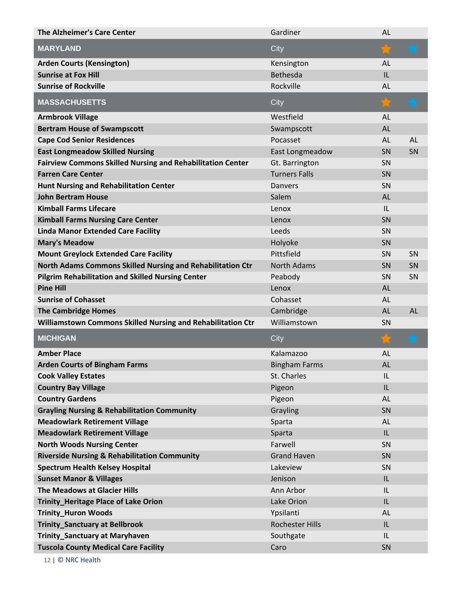| <b>The Alzheimer's Care Center</b>                                | Gardiner               | AL        |           |
|-------------------------------------------------------------------|------------------------|-----------|-----------|
| <b>MARYLAND</b>                                                   | City                   |           |           |
| <b>Arden Courts (Kensington)</b>                                  | Kensington             | AL        |           |
| <b>Sunrise at Fox Hill</b>                                        | <b>Bethesda</b>        | IL        |           |
| <b>Sunrise of Rockville</b>                                       | Rockville              | AL        |           |
| <b>MASSACHUSETTS</b>                                              | City                   |           |           |
| <b>Armbrook Village</b>                                           | Westfield              | AL        |           |
| <b>Bertram House of Swampscott</b>                                | Swampscott             | AL        |           |
| <b>Cape Cod Senior Residences</b>                                 | Pocasset               | AL        | <b>AL</b> |
| <b>East Longmeadow Skilled Nursing</b>                            | East Longmeadow        | SN        | SN        |
| <b>Fairview Commons Skilled Nursing and Rehabilitation Center</b> | Gt. Barrington         | SN        |           |
| <b>Farren Care Center</b>                                         | <b>Turners Falls</b>   | SN        |           |
| <b>Hunt Nursing and Rehabilitation Center</b>                     | <b>Danvers</b>         | SN        |           |
| <b>John Bertram House</b>                                         | Salem                  | AL        |           |
| <b>Kimball Farms Lifecare</b>                                     | Lenox                  | IL        |           |
| <b>Kimball Farms Nursing Care Center</b>                          | Lenox                  | SN        |           |
| <b>Linda Manor Extended Care Facility</b>                         | Leeds                  | SN        |           |
| <b>Mary's Meadow</b>                                              | Holyoke                | SN        |           |
| <b>Mount Greylock Extended Care Facility</b>                      | Pittsfield             | SN        | SN        |
| North Adams Commons Skilled Nursing and Rehabilitation Ctr        | <b>North Adams</b>     | SN        | SN        |
| <b>Pilgrim Rehabilitation and Skilled Nursing Center</b>          | Peabody                | SN        | SN        |
| <b>Pine Hill</b>                                                  | Lenox                  | AL        |           |
| <b>Sunrise of Cohasset</b>                                        | Cohasset               | AL        |           |
| <b>The Cambridge Homes</b>                                        | Cambridge              | AL        | <b>AL</b> |
| Williamstown Commons Skilled Nursing and Rehabilitation Ctr       | Williamstown           | SN        |           |
| <b>MICHIGAN</b>                                                   | City                   |           |           |
| <b>Amber Place</b>                                                | Kalamazoo              | <b>AL</b> |           |
| <b>Arden Courts of Bingham Farms</b>                              | <b>Bingham Farms</b>   | <b>AL</b> |           |
| <b>Cook Valley Estates</b>                                        | St. Charles            | IL        |           |
| <b>Country Bay Village</b>                                        | Pigeon                 | IL        |           |
| <b>Country Gardens</b>                                            | Pigeon                 | AL        |           |
| <b>Grayling Nursing &amp; Rehabilitation Community</b>            | Grayling               | SN        |           |
| <b>Meadowlark Retirement Village</b>                              | Sparta                 | AL        |           |
| <b>Meadowlark Retirement Village</b>                              | Sparta                 | IL        |           |
| <b>North Woods Nursing Center</b>                                 | Farwell                | SN        |           |
| <b>Riverside Nursing &amp; Rehabilitation Community</b>           | <b>Grand Haven</b>     | SN        |           |
| <b>Spectrum Health Kelsey Hospital</b>                            | Lakeview               | SN        |           |
| <b>Sunset Manor &amp; Villages</b>                                | Jenison                | IL        |           |
| The Meadows at Glacier Hills                                      | Ann Arbor              | IL        |           |
| <b>Trinity_Heritage Place of Lake Orion</b>                       | Lake Orion             | IL        |           |
| <b>Trinity_Huron Woods</b>                                        | Ypsilanti              | AL        |           |
| <b>Trinity_Sanctuary at Bellbrook</b>                             | <b>Rochester Hills</b> | IL        |           |
| Trinity_Sanctuary at Maryhaven                                    | Southgate              | IL        |           |
| <b>Tuscola County Medical Care Facility</b>                       | Caro                   | SN        |           |
|                                                                   |                        |           |           |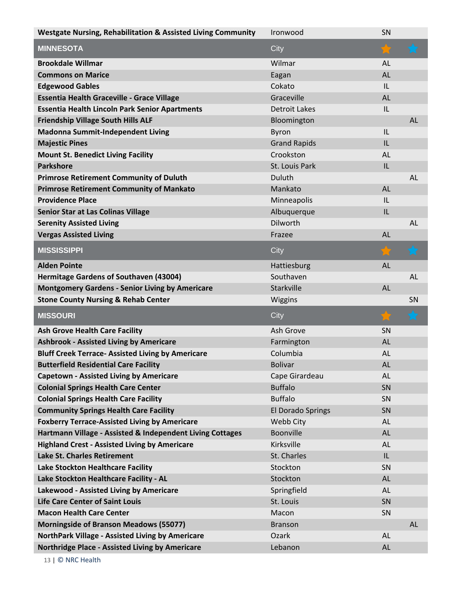| <b>Westgate Nursing, Rehabilitation &amp; Assisted Living Community</b> | Ironwood                 | SN        |           |
|-------------------------------------------------------------------------|--------------------------|-----------|-----------|
| <b>MINNESOTA</b>                                                        | City                     | ☆         |           |
| <b>Brookdale Willmar</b>                                                | Wilmar                   | AL        |           |
| <b>Commons on Marice</b>                                                | Eagan                    | AL        |           |
| <b>Edgewood Gables</b>                                                  | Cokato                   | IL        |           |
| <b>Essentia Health Graceville - Grace Village</b>                       | Graceville               | <b>AL</b> |           |
| <b>Essentia Health Lincoln Park Senior Apartments</b>                   | <b>Detroit Lakes</b>     | IL        |           |
| <b>Friendship Village South Hills ALF</b>                               | Bloomington              |           | <b>AL</b> |
| <b>Madonna Summit-Independent Living</b>                                | Byron                    | IL        |           |
| <b>Majestic Pines</b>                                                   | <b>Grand Rapids</b>      | IL        |           |
| <b>Mount St. Benedict Living Facility</b>                               | Crookston                | AL        |           |
| <b>Parkshore</b>                                                        | St. Louis Park           | IL        |           |
| <b>Primrose Retirement Community of Duluth</b>                          | Duluth                   |           | <b>AL</b> |
| <b>Primrose Retirement Community of Mankato</b>                         | Mankato                  | <b>AL</b> |           |
| <b>Providence Place</b>                                                 | Minneapolis              | IL        |           |
| <b>Senior Star at Las Colinas Village</b>                               | Albuquerque              | IL        |           |
| <b>Serenity Assisted Living</b>                                         | <b>Dilworth</b>          |           | <b>AL</b> |
| <b>Vergas Assisted Living</b>                                           | Frazee                   | <b>AL</b> |           |
| <b>MISSISSIPPI</b>                                                      | City                     |           |           |
| <b>Alden Pointe</b>                                                     | Hattiesburg              | <b>AL</b> |           |
| <b>Hermitage Gardens of Southaven (43004)</b>                           | Southaven                |           | <b>AL</b> |
| <b>Montgomery Gardens - Senior Living by Americare</b>                  | Starkville               | <b>AL</b> |           |
| <b>Stone County Nursing &amp; Rehab Center</b>                          | Wiggins                  |           | SN        |
| <b>MISSOURI</b>                                                         | City                     |           |           |
| <b>Ash Grove Health Care Facility</b>                                   | Ash Grove                | SN        |           |
| <b>Ashbrook - Assisted Living by Americare</b>                          | Farmington               | AL        |           |
| <b>Bluff Creek Terrace- Assisted Living by Americare</b>                | Columbia                 | <b>AL</b> |           |
| <b>Butterfield Residential Care Facility</b>                            | <b>Bolivar</b>           | AL        |           |
| <b>Capetown - Assisted Living by Americare</b>                          |                          |           |           |
|                                                                         | Cape Girardeau           | AL        |           |
| <b>Colonial Springs Health Care Center</b>                              | <b>Buffalo</b>           | SN        |           |
| <b>Colonial Springs Health Care Facility</b>                            | <b>Buffalo</b>           | SN        |           |
| <b>Community Springs Health Care Facility</b>                           | <b>El Dorado Springs</b> | SN        |           |
| <b>Foxberry Terrace-Assisted Living by Americare</b>                    | Webb City                | AL        |           |
| Hartmann Village - Assisted & Independent Living Cottages               | Boonville                | AL        |           |
| <b>Highland Crest - Assisted Living by Americare</b>                    | Kirksville               | AL        |           |
| Lake St. Charles Retirement                                             | St. Charles              | IL        |           |
| Lake Stockton Healthcare Facility                                       | Stockton                 | SN        |           |
| Lake Stockton Healthcare Facility - AL                                  | Stockton                 | AL        |           |
| Lakewood - Assisted Living by Americare                                 | Springfield              | AL        |           |
| <b>Life Care Center of Saint Louis</b>                                  | St. Louis                | SN        |           |
| <b>Macon Health Care Center</b>                                         | Macon                    | <b>SN</b> |           |
| <b>Morningside of Branson Meadows (55077)</b>                           | <b>Branson</b>           |           | <b>AL</b> |
| NorthPark Village - Assisted Living by Americare                        | Ozark                    | AL        |           |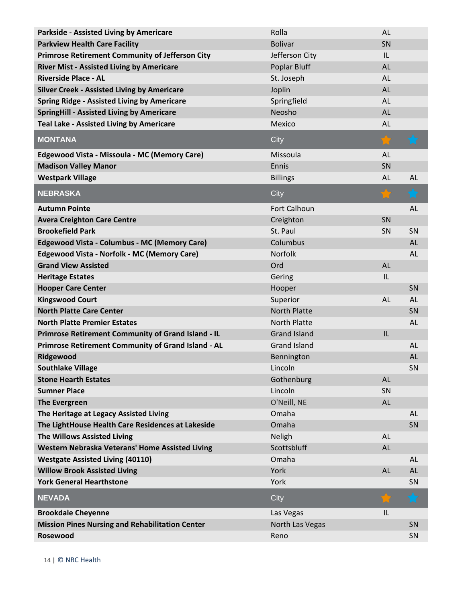| <b>Parkside - Assisted Living by Americare</b>         | Rolla               | <b>AL</b> |            |
|--------------------------------------------------------|---------------------|-----------|------------|
| <b>Parkview Health Care Facility</b>                   | <b>Bolivar</b>      | SN        |            |
| <b>Primrose Retirement Community of Jefferson City</b> | Jefferson City      | IL        |            |
| <b>River Mist - Assisted Living by Americare</b>       | Poplar Bluff        | <b>AL</b> |            |
| <b>Riverside Place - AL</b>                            | St. Joseph          | <b>AL</b> |            |
| <b>Silver Creek - Assisted Living by Americare</b>     | Joplin              | <b>AL</b> |            |
| <b>Spring Ridge - Assisted Living by Americare</b>     | Springfield         | AL        |            |
| <b>SpringHill - Assisted Living by Americare</b>       | Neosho              | <b>AL</b> |            |
| <b>Teal Lake - Assisted Living by Americare</b>        | Mexico              | <b>AL</b> |            |
| <b>MONTANA</b>                                         | City                |           |            |
| Edgewood Vista - Missoula - MC (Memory Care)           | Missoula            | <b>AL</b> |            |
| <b>Madison Valley Manor</b>                            | Ennis               | SN        |            |
| <b>Westpark Village</b>                                | <b>Billings</b>     | <b>AL</b> | <b>AL</b>  |
| <b>NEBRASKA</b>                                        | City                |           |            |
| <b>Autumn Pointe</b>                                   | Fort Calhoun        |           | <b>AL</b>  |
| <b>Avera Creighton Care Centre</b>                     | Creighton           | SN        |            |
| <b>Brookefield Park</b>                                | St. Paul            | SN        | SN         |
| <b>Edgewood Vista - Columbus - MC (Memory Care)</b>    | Columbus            |           | <b>AL</b>  |
| <b>Edgewood Vista - Norfolk - MC (Memory Care)</b>     | Norfolk             |           | <b>AL</b>  |
| <b>Grand View Assisted</b>                             | Ord                 | <b>AL</b> |            |
| <b>Heritage Estates</b>                                | Gering              | IL        |            |
| <b>Hooper Care Center</b>                              | Hooper              |           | SN         |
| <b>Kingswood Court</b>                                 | Superior            | <b>AL</b> | <b>AL</b>  |
| <b>North Platte Care Center</b>                        | <b>North Platte</b> |           | SN         |
| <b>North Platte Premier Estates</b>                    | <b>North Platte</b> |           | <b>AL</b>  |
| Primrose Retirement Community of Grand Island - IL     | <b>Grand Island</b> | IL        |            |
| Primrose Retirement Community of Grand Island - AL     | <b>Grand Island</b> |           | <b>AL</b>  |
| Ridgewood                                              | Bennington          |           | <b>AL</b>  |
| <b>Southlake Village</b>                               | Lincoln             |           | SN         |
| <b>Stone Hearth Estates</b>                            | Gothenburg          | <b>AL</b> |            |
| <b>Sumner Place</b>                                    | Lincoln             | SN        |            |
| <b>The Evergreen</b>                                   | O'Neill, NE         | AL        |            |
| The Heritage at Legacy Assisted Living                 | Omaha               |           | <b>AL</b>  |
| The LightHouse Health Care Residences at Lakeside      | Omaha               |           | SN         |
| <b>The Willows Assisted Living</b>                     | Neligh              | <b>AL</b> |            |
| Western Nebraska Veterans' Home Assisted Living        | Scottsbluff         | <b>AL</b> |            |
| <b>Westgate Assisted Living (40110)</b>                | Omaha               |           | <b>AL</b>  |
| <b>Willow Brook Assisted Living</b>                    | York                | <b>AL</b> | <b>AL</b>  |
| <b>York General Hearthstone</b>                        | York                |           | SN         |
| <b>NEVADA</b>                                          | City                |           | $\bigstar$ |
| <b>Brookdale Cheyenne</b>                              | Las Vegas           | IL        |            |
| <b>Mission Pines Nursing and Rehabilitation Center</b> | North Las Vegas     |           | SN         |
| Rosewood                                               | Reno                |           | SN         |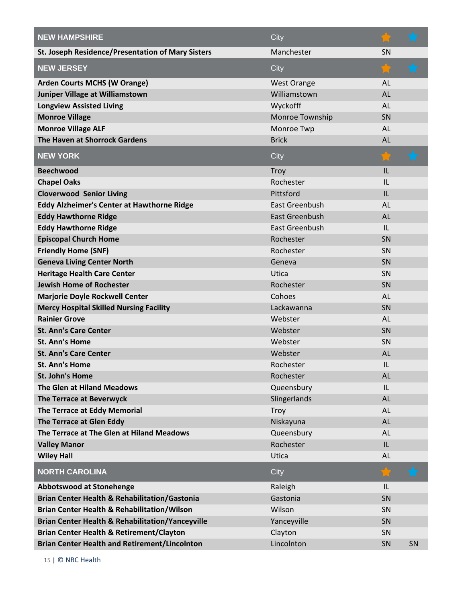| <b>NEW HAMPSHIRE</b>                                        | City               |           |    |
|-------------------------------------------------------------|--------------------|-----------|----|
| St. Joseph Residence/Presentation of Mary Sisters           | Manchester         | <b>SN</b> |    |
| <b>NEW JERSEY</b>                                           | City               |           |    |
| <b>Arden Courts MCHS (W Orange)</b>                         | <b>West Orange</b> | <b>AL</b> |    |
| Juniper Village at Williamstown                             | Williamstown       | <b>AL</b> |    |
| <b>Longview Assisted Living</b>                             | Wyckofff           | AL        |    |
| <b>Monroe Village</b>                                       | Monroe Township    | SN        |    |
| <b>Monroe Village ALF</b>                                   | Monroe Twp         | AL        |    |
| The Haven at Shorrock Gardens                               | <b>Brick</b>       | <b>AL</b> |    |
| <b>NEW YORK</b>                                             | City               |           |    |
| <b>Beechwood</b>                                            | Troy               | L         |    |
| <b>Chapel Oaks</b>                                          | Rochester          | IL        |    |
| <b>Cloverwood Senior Living</b>                             | Pittsford          | IL        |    |
| <b>Eddy Alzheimer's Center at Hawthorne Ridge</b>           | East Greenbush     | <b>AL</b> |    |
| <b>Eddy Hawthorne Ridge</b>                                 | East Greenbush     | <b>AL</b> |    |
| <b>Eddy Hawthorne Ridge</b>                                 | East Greenbush     | IL        |    |
| <b>Episcopal Church Home</b>                                | Rochester          | SN        |    |
| <b>Friendly Home (SNF)</b>                                  | Rochester          | SN        |    |
| <b>Geneva Living Center North</b>                           | Geneva             | SN        |    |
| <b>Heritage Health Care Center</b>                          | Utica              | SN        |    |
| <b>Jewish Home of Rochester</b>                             | Rochester          | SN        |    |
| <b>Marjorie Doyle Rockwell Center</b>                       | Cohoes             | <b>AL</b> |    |
| <b>Mercy Hospital Skilled Nursing Facility</b>              | Lackawanna         | SN        |    |
| <b>Rainier Grove</b>                                        | Webster            | <b>AL</b> |    |
| <b>St. Ann's Care Center</b>                                | Webster            | SN        |    |
| St. Ann's Home                                              | Webster            | SN        |    |
| <b>St. Ann's Care Center</b>                                | Webster            | <b>AL</b> |    |
| <b>St. Ann's Home</b>                                       | Rochester          | IL        |    |
| St. John's Home                                             | Rochester          | <b>AL</b> |    |
| The Glen at Hiland Meadows                                  | Queensbury         | IL        |    |
| The Terrace at Beverwyck                                    | Slingerlands       | AL        |    |
| The Terrace at Eddy Memorial                                | Troy               | <b>AL</b> |    |
| The Terrace at Glen Eddy                                    | Niskayuna          | AL        |    |
| The Terrace at The Glen at Hiland Meadows                   | Queensbury         | <b>AL</b> |    |
| <b>Valley Manor</b>                                         | Rochester          | IL        |    |
| <b>Wiley Hall</b>                                           | Utica              | <b>AL</b> |    |
| <b>NORTH CAROLINA</b>                                       | City               |           |    |
| <b>Abbotswood at Stonehenge</b>                             | Raleigh            | IL        |    |
| <b>Brian Center Health &amp; Rehabilitation/Gastonia</b>    | Gastonia           | SN        |    |
| <b>Brian Center Health &amp; Rehabilitation/Wilson</b>      | Wilson             | SN        |    |
| <b>Brian Center Health &amp; Rehabilitation/Yanceyville</b> | Yanceyville        | SN        |    |
| <b>Brian Center Health &amp; Retirement/Clayton</b>         | Clayton            | SN        |    |
| <b>Brian Center Health and Retirement/Lincolnton</b>        | Lincolnton         | SN        | SN |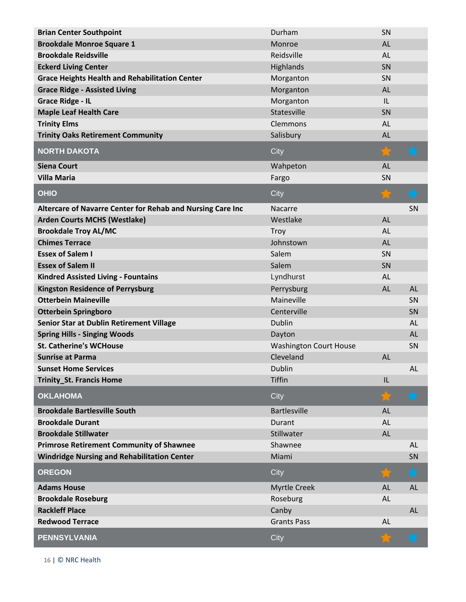| <b>Brian Center Southpoint</b>                             | Durham                        | SN        |           |
|------------------------------------------------------------|-------------------------------|-----------|-----------|
| <b>Brookdale Monroe Square 1</b>                           | Monroe                        | <b>AL</b> |           |
| <b>Brookdale Reidsville</b>                                | Reidsville                    | AL        |           |
| <b>Eckerd Living Center</b>                                | Highlands                     | SN        |           |
| <b>Grace Heights Health and Rehabilitation Center</b>      | Morganton                     | SN        |           |
| <b>Grace Ridge - Assisted Living</b>                       | Morganton                     | <b>AL</b> |           |
| <b>Grace Ridge - IL</b>                                    | Morganton                     | IL        |           |
| <b>Maple Leaf Health Care</b>                              | Statesville                   | SN        |           |
| <b>Trinity Elms</b>                                        | Clemmons                      | AL        |           |
| <b>Trinity Oaks Retirement Community</b>                   | Salisbury                     | <b>AL</b> |           |
| <b>NORTH DAKOTA</b>                                        | City                          |           |           |
| <b>Siena Court</b>                                         | Wahpeton                      | <b>AL</b> |           |
| <b>Villa Maria</b>                                         | Fargo                         | SN        |           |
| <b>OHIO</b>                                                | City                          |           |           |
| Altercare of Navarre Center for Rehab and Nursing Care Inc | Nacarre                       |           | SN        |
| <b>Arden Courts MCHS (Westlake)</b>                        | Westlake                      | <b>AL</b> |           |
| <b>Brookdale Troy AL/MC</b>                                | Troy                          | <b>AL</b> |           |
| <b>Chimes Terrace</b>                                      | Johnstown                     | AL        |           |
| <b>Essex of Salem I</b>                                    | Salem                         | SN        |           |
| <b>Essex of Salem II</b>                                   | Salem                         | SN        |           |
| <b>Kindred Assisted Living - Fountains</b>                 | Lyndhurst                     | <b>AL</b> |           |
| <b>Kingston Residence of Perrysburg</b>                    | Perrysburg                    | AL        | <b>AL</b> |
| <b>Otterbein Maineville</b>                                | Maineville                    |           | SN        |
| <b>Otterbein Springboro</b>                                | Centerville                   |           | SN        |
| Senior Star at Dublin Retirement Village                   | Dublin                        |           | <b>AL</b> |
| <b>Spring Hills - Singing Woods</b>                        | Dayton                        |           | <b>AL</b> |
| <b>St. Catherine's WCHouse</b>                             | <b>Washington Court House</b> |           | SN        |
| <b>Sunrise at Parma</b>                                    | Cleveland                     | <b>AL</b> |           |
| <b>Sunset Home Services</b>                                | <b>Dublin</b>                 |           | <b>AL</b> |
| <b>Trinity_St. Francis Home</b>                            | <b>Tiffin</b>                 | IL        |           |
| <b>OKLAHOMA</b>                                            | City                          | ੇ≥        | $\star$   |
| <b>Brookdale Bartlesville South</b>                        | <b>Bartlesville</b>           | <b>AL</b> |           |
| <b>Brookdale Durant</b>                                    | Durant                        | AL        |           |
| <b>Brookdale Stillwater</b>                                | Stillwater                    | AL        |           |
| <b>Primrose Retirement Community of Shawnee</b>            | Shawnee                       |           | <b>AL</b> |
| <b>Windridge Nursing and Rehabilitation Center</b>         | Miami                         |           | SN        |
| <b>OREGON</b>                                              | City                          |           | h.C       |
| <b>Adams House</b>                                         | <b>Myrtle Creek</b>           | AL        | <b>AL</b> |
| <b>Brookdale Roseburg</b>                                  | Roseburg                      | AL        |           |
| <b>Rackleff Place</b>                                      | Canby                         |           | <b>AL</b> |
| <b>Redwood Terrace</b>                                     | <b>Grants Pass</b>            | AL        |           |
| <b>PENNSYLVANIA</b>                                        | City                          |           |           |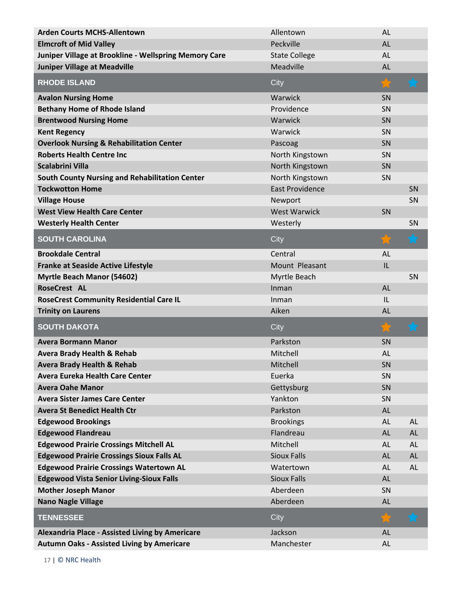| <b>Arden Courts MCHS-Allentown</b>                     | Allentown              | <b>AL</b> |            |
|--------------------------------------------------------|------------------------|-----------|------------|
| <b>Elmcroft of Mid Valley</b>                          | Peckville              | <b>AL</b> |            |
| Juniper Village at Brookline - Wellspring Memory Care  | <b>State College</b>   | AL        |            |
| <b>Juniper Village at Meadville</b>                    | Meadville              | <b>AL</b> |            |
| <b>RHODE ISLAND</b>                                    | City                   |           |            |
| <b>Avalon Nursing Home</b>                             | Warwick                | SN        |            |
| <b>Bethany Home of Rhode Island</b>                    | Providence             | SN        |            |
| <b>Brentwood Nursing Home</b>                          | Warwick                | SN        |            |
| <b>Kent Regency</b>                                    | Warwick                | SN        |            |
| <b>Overlook Nursing &amp; Rehabilitation Center</b>    | Pascoag                | SN        |            |
| <b>Roberts Health Centre Inc</b>                       | North Kingstown        | SN        |            |
| <b>Scalabrini Villa</b>                                | North Kingstown        | SN        |            |
| <b>South County Nursing and Rehabilitation Center</b>  | North Kingstown        | SN        |            |
| <b>Tockwotton Home</b>                                 | <b>East Providence</b> |           | SN         |
| <b>Village House</b>                                   | Newport                |           | SN         |
| <b>West View Health Care Center</b>                    | <b>West Warwick</b>    | SN        |            |
| <b>Westerly Health Center</b>                          | Westerly               |           | SN         |
| <b>SOUTH CAROLINA</b>                                  | City                   |           | h. C       |
| <b>Brookdale Central</b>                               | Central                | <b>AL</b> |            |
| <b>Franke at Seaside Active Lifestyle</b>              | Mount Pleasant         | IL        |            |
| <b>Myrtle Beach Manor (54602)</b>                      | Myrtle Beach           |           | SN         |
| <b>RoseCrest AL</b>                                    | Inman                  | <b>AL</b> |            |
| <b>RoseCrest Community Residential Care IL</b>         | Inman                  | IL        |            |
| <b>Trinity on Laurens</b>                              | Aiken                  | <b>AL</b> |            |
| <b>SOUTH DAKOTA</b>                                    | City                   |           | $\bigstar$ |
| <b>Avera Bormann Manor</b>                             | Parkston               | SN        |            |
| <b>Avera Brady Health &amp; Rehab</b>                  | Mitchell               | <b>AL</b> |            |
| <b>Avera Brady Health &amp; Rehab</b>                  | Mitchell               | SN        |            |
| <b>Avera Eureka Health Care Center</b>                 | Euerka                 | SN        |            |
| <b>Avera Oahe Manor</b>                                | Gettysburg             | SN        |            |
| <b>Avera Sister James Care Center</b>                  | Yankton                | SN        |            |
| <b>Avera St Benedict Health Ctr</b>                    | Parkston               | AL        |            |
| <b>Edgewood Brookings</b>                              |                        | AL        | AL         |
|                                                        | <b>Brookings</b>       |           |            |
| <b>Edgewood Flandreau</b>                              | Flandreau              | AL        | AL         |
| <b>Edgewood Prairie Crossings Mitchell AL</b>          | Mitchell               | AL        | AL         |
| <b>Edgewood Prairie Crossings Sioux Falls AL</b>       | <b>Sioux Falls</b>     | AL        | AL         |
| <b>Edgewood Prairie Crossings Watertown AL</b>         | Watertown              | AL        | AL         |
| <b>Edgewood Vista Senior Living-Sioux Falls</b>        | <b>Sioux Falls</b>     | AL        |            |
| <b>Mother Joseph Manor</b>                             | Aberdeen               | SN        |            |
| <b>Nano Nagle Village</b>                              | Aberdeen               | AL        |            |
| <b>TENNESSEE</b>                                       | City                   |           |            |
| <b>Alexandria Place - Assisted Living by Americare</b> | Jackson                | <b>AL</b> |            |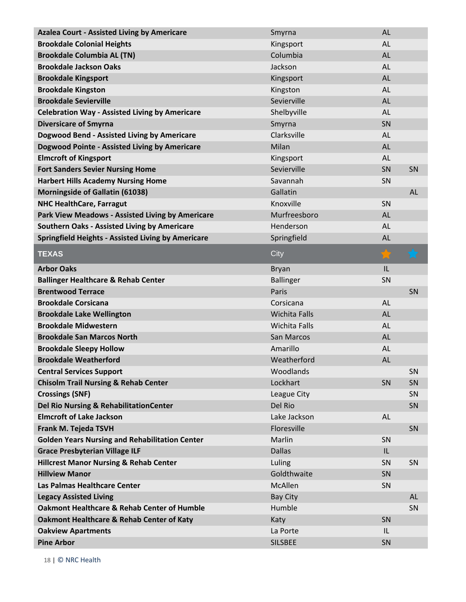| <b>Azalea Court - Assisted Living by Americare</b>        | Smyrna               | AL        |           |
|-----------------------------------------------------------|----------------------|-----------|-----------|
| <b>Brookdale Colonial Heights</b>                         | Kingsport            | <b>AL</b> |           |
| <b>Brookdale Columbia AL (TN)</b>                         | Columbia             | <b>AL</b> |           |
| <b>Brookdale Jackson Oaks</b>                             | Jackson              | <b>AL</b> |           |
| <b>Brookdale Kingsport</b>                                | Kingsport            | <b>AL</b> |           |
| <b>Brookdale Kingston</b>                                 | Kingston             | <b>AL</b> |           |
| <b>Brookdale Sevierville</b>                              | Sevierville          | AL        |           |
| <b>Celebration Way - Assisted Living by Americare</b>     | Shelbyville          | <b>AL</b> |           |
| <b>Diversicare of Smyrna</b>                              | Smyrna               | SN        |           |
| Dogwood Bend - Assisted Living by Americare               | Clarksville          | <b>AL</b> |           |
| <b>Dogwood Pointe - Assisted Living by Americare</b>      | Milan                | <b>AL</b> |           |
| <b>Elmcroft of Kingsport</b>                              | Kingsport            | AL        |           |
| <b>Fort Sanders Sevier Nursing Home</b>                   | Sevierville          | SN        | SN        |
| <b>Harbert Hills Academy Nursing Home</b>                 | Savannah             | SN        |           |
| <b>Morningside of Gallatin (61038)</b>                    | Gallatin             |           | AL        |
| <b>NHC HealthCare, Farragut</b>                           | Knoxville            | SN        |           |
| Park View Meadows - Assisted Living by Americare          | Murfreesboro         | AL        |           |
| <b>Southern Oaks - Assisted Living by Americare</b>       | Henderson            | <b>AL</b> |           |
| <b>Springfield Heights - Assisted Living by Americare</b> | Springfield          | AL        |           |
| <b>TEXAS</b>                                              | City                 |           |           |
| <b>Arbor Oaks</b>                                         | <b>Bryan</b>         | IL        |           |
| <b>Ballinger Healthcare &amp; Rehab Center</b>            | <b>Ballinger</b>     | SN        |           |
| <b>Brentwood Terrace</b>                                  | Paris                |           | SN        |
| <b>Brookdale Corsicana</b>                                | Corsicana            | <b>AL</b> |           |
| <b>Brookdale Lake Wellington</b>                          | <b>Wichita Falls</b> | AL        |           |
| <b>Brookdale Midwestern</b>                               | <b>Wichita Falls</b> | <b>AL</b> |           |
| <b>Brookdale San Marcos North</b>                         | San Marcos           | AL        |           |
|                                                           | Amarillo             | AL        |           |
| <b>Brookdale Sleepy Hollow</b>                            |                      |           |           |
| <b>Brookdale Weatherford</b>                              | Weatherford          | AL        |           |
| <b>Central Services Support</b>                           | Woodlands            |           | SN        |
| <b>Chisolm Trail Nursing &amp; Rehab Center</b>           | Lockhart             | SN        | SN        |
| <b>Crossings (SNF)</b>                                    | League City          |           | SN        |
| Del Rio Nursing & RehabilitationCenter                    | Del Rio              |           | SN        |
| <b>Elmcroft of Lake Jackson</b>                           | Lake Jackson         | <b>AL</b> |           |
| Frank M. Tejeda TSVH                                      | Floresville          |           | SN        |
| <b>Golden Years Nursing and Rehabilitation Center</b>     | Marlin               | SN        |           |
| <b>Grace Presbyterian Village ILF</b>                     | <b>Dallas</b>        | IL        |           |
| <b>Hillcrest Manor Nursing &amp; Rehab Center</b>         | Luling               | SN        | SN        |
| <b>Hillview Manor</b>                                     | Goldthwaite          | SN        |           |
| Las Palmas Healthcare Center                              | McAllen              | SN        |           |
| <b>Legacy Assisted Living</b>                             | <b>Bay City</b>      |           | <b>AL</b> |
| <b>Oakmont Healthcare &amp; Rehab Center of Humble</b>    | Humble               |           | SN        |
| <b>Oakmont Healthcare &amp; Rehab Center of Katy</b>      | Katy                 | SN        |           |
| <b>Oakview Apartments</b>                                 | La Porte             | IL        |           |
|                                                           |                      |           |           |
|                                                           |                      |           |           |
|                                                           |                      |           |           |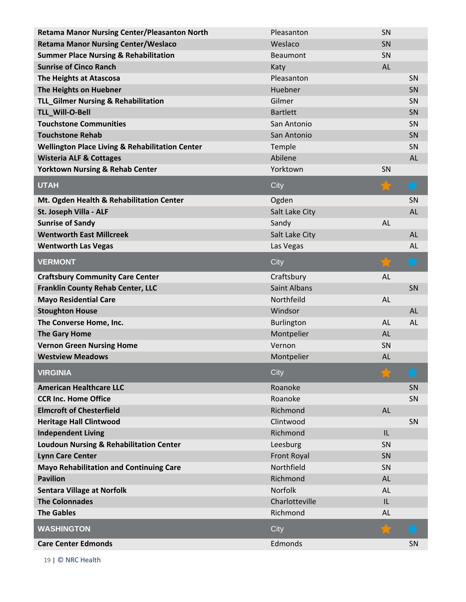| <b>Retama Manor Nursing Center/Pleasanton North</b>        | Pleasanton          | SN        |            |
|------------------------------------------------------------|---------------------|-----------|------------|
| <b>Retama Manor Nursing Center/Weslaco</b>                 | Weslaco             | SN        |            |
| <b>Summer Place Nursing &amp; Rehabilitation</b>           | <b>Beaumont</b>     | SN        |            |
| <b>Sunrise of Cinco Ranch</b>                              | Katy                | <b>AL</b> |            |
| The Heights at Atascosa                                    | Pleasanton          |           | SN         |
| The Heights on Huebner                                     | Huebner             |           | SN         |
| <b>TLL_Gilmer Nursing &amp; Rehabilitation</b>             | Gilmer              |           | SN         |
| TLL_Will-O-Bell                                            | <b>Bartlett</b>     |           | SN         |
| <b>Touchstone Communities</b>                              | San Antonio         |           | SN         |
| <b>Touchstone Rehab</b>                                    | San Antonio         |           | SN         |
| <b>Wellington Place Living &amp; Rehabilitation Center</b> | Temple              |           | SN         |
| <b>Wisteria ALF &amp; Cottages</b>                         | Abilene             |           | <b>AL</b>  |
| <b>Yorktown Nursing &amp; Rehab Center</b>                 | Yorktown            | SN        |            |
| <b>UTAH</b>                                                | City                |           | $\bigstar$ |
| Mt. Ogden Health & Rehabilitation Center                   | Ogden               |           | SN         |
| St. Joseph Villa - ALF                                     | Salt Lake City      |           | <b>AL</b>  |
| <b>Sunrise of Sandy</b>                                    | Sandy               | <b>AL</b> |            |
| <b>Wentworth East Millcreek</b>                            | Salt Lake City      |           | <b>AL</b>  |
| <b>Wentworth Las Vegas</b>                                 | Las Vegas           |           | <b>AL</b>  |
| <b>VERMONT</b>                                             | City                |           |            |
| <b>Craftsbury Community Care Center</b>                    | Craftsbury          | AL        |            |
| <b>Franklin County Rehab Center, LLC</b>                   | <b>Saint Albans</b> |           | SN         |
| <b>Mayo Residential Care</b>                               | Northfeild          | <b>AL</b> |            |
| <b>Stoughton House</b>                                     | Windsor             |           | <b>AL</b>  |
| The Converse Home, Inc.                                    | Burlington          | <b>AL</b> | <b>AL</b>  |
| <b>The Gary Home</b>                                       | Montpelier          | <b>AL</b> |            |
| <b>Vernon Green Nursing Home</b>                           | Vernon              | SN        |            |
| <b>Westview Meadows</b>                                    | Montpelier          | <b>AL</b> |            |
| <b>VIRGINIA</b>                                            | City                |           | Ъđ         |
| <b>American Healthcare LLC</b>                             | Roanoke             |           | SN         |
| <b>CCR Inc. Home Office</b>                                | Roanoke             |           | SN         |
| <b>Elmcroft of Chesterfield</b>                            | Richmond            | <b>AL</b> |            |
| <b>Heritage Hall Clintwood</b>                             | Clintwood           |           | SN         |
| <b>Independent Living</b>                                  | Richmond            | IL        |            |
| <b>Loudoun Nursing &amp; Rehabilitation Center</b>         | Leesburg            | SN        |            |
| <b>Lynn Care Center</b>                                    | Front Royal         | SN        |            |
| <b>Mayo Rehabilitation and Continuing Care</b>             | Northfield          | SN        |            |
| <b>Pavilion</b>                                            | Richmond            | <b>AL</b> |            |
| <b>Sentara Village at Norfolk</b>                          | Norfolk             | <b>AL</b> |            |
| <b>The Colonnades</b>                                      | Charlotteville      | IL        |            |
| <b>The Gables</b>                                          | Richmond            | <b>AL</b> |            |
| <b>WASHINGTON</b>                                          | City                |           |            |
| <b>Care Center Edmonds</b>                                 | Edmonds             |           | <b>SN</b>  |